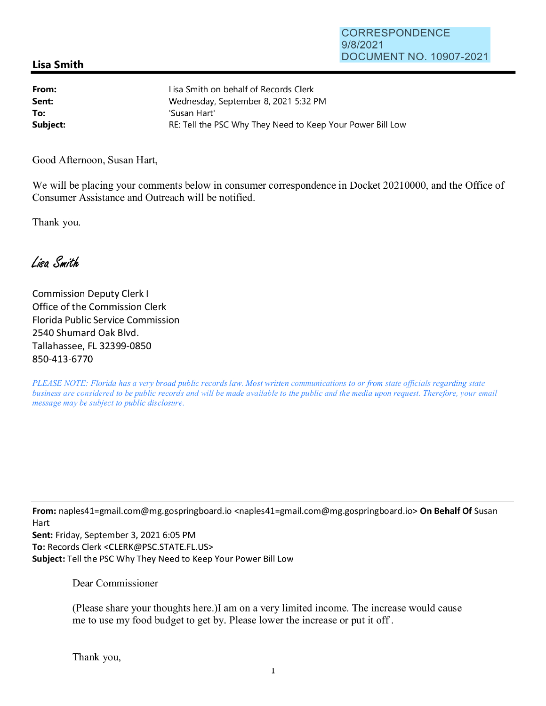## **Lisa Smith**

| From:    | Lisa Smith on behalf of Records Clerk                      |
|----------|------------------------------------------------------------|
| Sent:    | Wednesday, September 8, 2021 5:32 PM                       |
| To:      | 'Susan Hart'                                               |
| Subject: | RE: Tell the PSC Why They Need to Keep Your Power Bill Low |

Good Afternoon, Susan Hart,

We will be placing your comments below in consumer correspondence in Docket 20210000, and the Office of Consumer Assistance and Outreach will be notified.

Thank you.

Lisa Smith

Commission Deputy Clerk I Office of the Commission Clerk Florida Public Service Commission 2540 Shumard Oak Blvd. Tallahassee, FL 32399-0850 850-413-6770

*PLEASE NOTE: Florida has a very broad public records law. Most written communications to or from state officials regarding state business are considered to be public records and will be made available to the public and the media upon request. Therefore, your email message may be subject to public disclosure.* 

**From:** nap1es41=gmail.com@mg.gospringboard.io <nap1es41=gmail.com@mg.gospringboard.io> **On Behalf Of** Susan Hart

**Sent:** Friday, September 3, 2021 6:05 PM **To:** Records Clerk <CLERK@PSC.STATE.FL.US> **Subject:** Tell the PSC Why They Need to Keep Your Power Bill Low

Dear Commissioner

(Please share your thoughts here.)I am on a very limited income. The increase would cause me to use my food budget to get by. Please lower the increase or put it off.

Thank you,